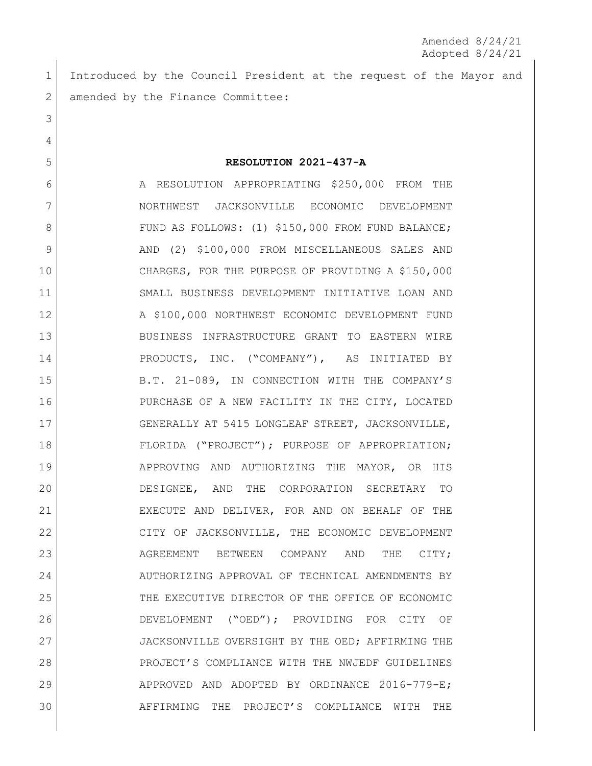1 Introduced by the Council President at the request of the Mayor and 2 amended by the Finance Committee:

3

4

5 **RESOLUTION 2021-437-A**

6 A RESOLUTION APPROPRIATING \$250,000 FROM THE 7 NORTHWEST JACKSONVILLE ECONOMIC DEVELOPMENT 8 FUND AS FOLLOWS: (1) \$150,000 FROM FUND BALANCE; 9 AND (2) \$100,000 FROM MISCELLANEOUS SALES AND 10 CHARGES, FOR THE PURPOSE OF PROVIDING A \$150,000 11 SMALL BUSINESS DEVELOPMENT INITIATIVE LOAN AND 12 A \$100,000 NORTHWEST ECONOMIC DEVELOPMENT FUND 13 BUSINESS INFRASTRUCTURE GRANT TO EASTERN WIRE 14 PRODUCTS, INC. ("COMPANY"), AS INITIATED BY 15 B.T. 21-089, IN CONNECTION WITH THE COMPANY'S 16 PURCHASE OF A NEW FACILITY IN THE CITY, LOCATED 17 GENERALLY AT 5415 LONGLEAF STREET, JACKSONVILLE, 18 FLORIDA ("PROJECT"); PURPOSE OF APPROPRIATION; 19 | APPROVING AND AUTHORIZING THE MAYOR, OR HIS 20 DESIGNEE, AND THE CORPORATION SECRETARY TO 21 EXECUTE AND DELIVER, FOR AND ON BEHALF OF THE 22 CITY OF JACKSONVILLE, THE ECONOMIC DEVELOPMENT 23 AGREEMENT BETWEEN COMPANY AND THE CITY; 24 AUTHORIZING APPROVAL OF TECHNICAL AMENDMENTS BY 25 THE EXECUTIVE DIRECTOR OF THE OFFICE OF ECONOMIC 26 DEVELOPMENT ("OED"); PROVIDING FOR CITY OF 27 JACKSONVILLE OVERSIGHT BY THE OED; AFFIRMING THE 28 PROJECT'S COMPLIANCE WITH THE NWJEDF GUIDELINES 29 APPROVED AND ADOPTED BY ORDINANCE 2016-779-E; 30 AFFIRMING THE PROJECT'S COMPLIANCE WITH THE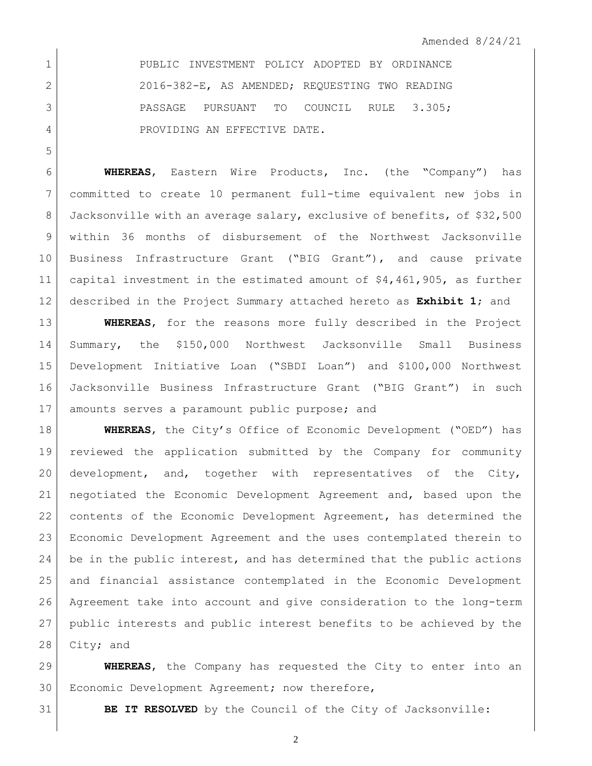1 PUBLIC INVESTMENT POLICY ADOPTED BY ORDINANCE 2016-382-E, AS AMENDED; REQUESTING TWO READING 3 PASSAGE PURSUANT TO COUNCIL RULE 3.305; 4 PROVIDING AN EFFECTIVE DATE.

 **WHEREAS**, Eastern Wire Products, Inc. (the "Company") has committed to create 10 permanent full-time equivalent new jobs in 8 Jacksonville with an average salary, exclusive of benefits, of \$32,500 within 36 months of disbursement of the Northwest Jacksonville Business Infrastructure Grant ("BIG Grant"), and cause private capital investment in the estimated amount of \$4,461,905, as further described in the Project Summary attached hereto as **Exhibit 1**; and

 **WHEREAS**, for the reasons more fully described in the Project Summary, the \$150,000 Northwest Jacksonville Small Business Development Initiative Loan ("SBDI Loan") and \$100,000 Northwest Jacksonville Business Infrastructure Grant ("BIG Grant") in such 17 amounts serves a paramount public purpose; and

**WHEREAS**, the City's Office of Economic Development ("OED") has reviewed the application submitted by the Company for community development, and, together with representatives of the City, negotiated the Economic Development Agreement and, based upon the contents of the Economic Development Agreement, has determined the Economic Development Agreement and the uses contemplated therein to 24 be in the public interest, and has determined that the public actions and financial assistance contemplated in the Economic Development Agreement take into account and give consideration to the long-term public interests and public interest benefits to be achieved by the 28 City; and

 **WHEREAS**, the Company has requested the City to enter into an 30 | Economic Development Agreement; now therefore,

**BE IT RESOLVED** by the Council of the City of Jacksonville: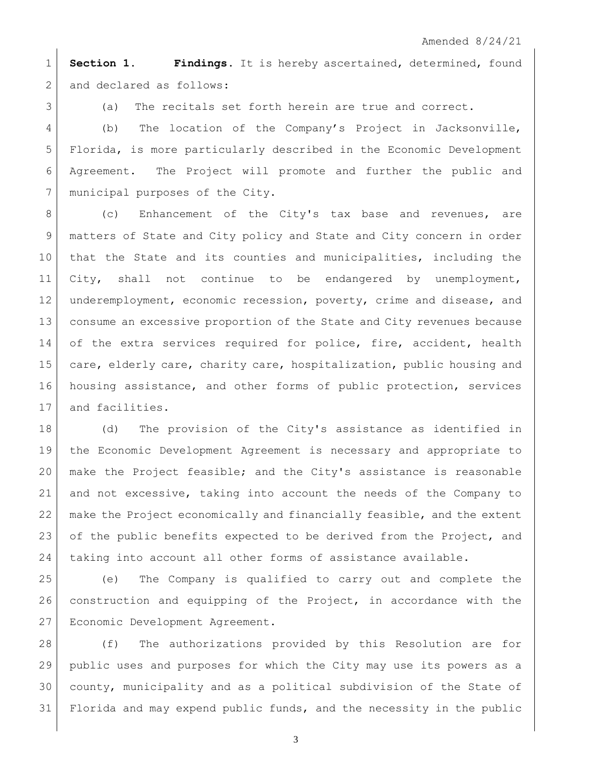**Section 1. Findings**. It is hereby ascertained, determined, found 2 and declared as follows:

3 (a) The recitals set forth herein are true and correct.

 (b) The location of the Company's Project in Jacksonville, Florida, is more particularly described in the Economic Development Agreement. The Project will promote and further the public and 7 | municipal purposes of the City.

8 (c) Enhancement of the City's tax base and revenues, are 9 | matters of State and City policy and State and City concern in order that the State and its counties and municipalities, including the City, shall not continue to be endangered by unemployment, underemployment, economic recession, poverty, crime and disease, and consume an excessive proportion of the State and City revenues because 14 of the extra services required for police, fire, accident, health 15 care, elderly care, charity care, hospitalization, public housing and housing assistance, and other forms of public protection, services 17 and facilities.

 (d) The provision of the City's assistance as identified in the Economic Development Agreement is necessary and appropriate to make the Project feasible; and the City's assistance is reasonable and not excessive, taking into account the needs of the Company to make the Project economically and financially feasible, and the extent of the public benefits expected to be derived from the Project, and 24 | taking into account all other forms of assistance available.

 (e) The Company is qualified to carry out and complete the construction and equipping of the Project, in accordance with the Economic Development Agreement.

 (f) The authorizations provided by this Resolution are for public uses and purposes for which the City may use its powers as a county, municipality and as a political subdivision of the State of 31 Florida and may expend public funds, and the necessity in the public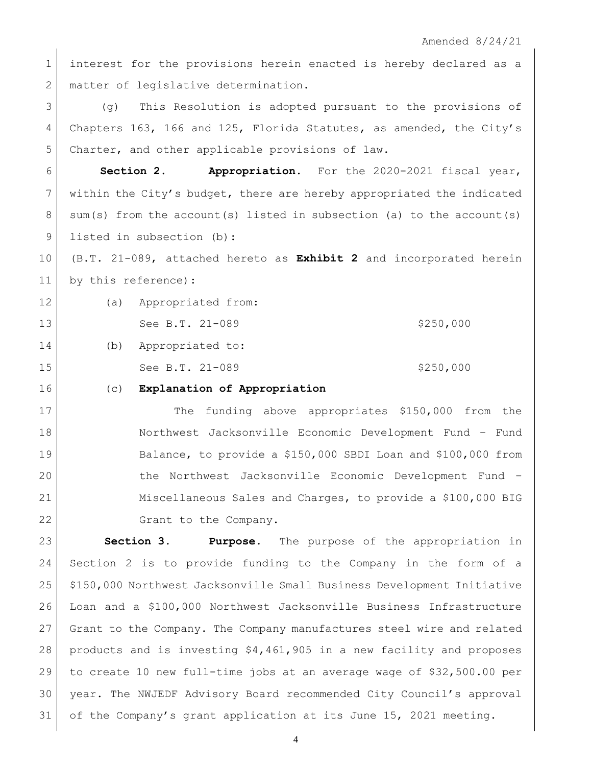1 interest for the provisions herein enacted is hereby declared as a 2 matter of legislative determination.

 (g) This Resolution is adopted pursuant to the provisions of Chapters 163, 166 and 125, Florida Statutes, as amended, the City's Charter, and other applicable provisions of law.

 **Section 2. Appropriation.** For the 2020-2021 fiscal year, 7 within the City's budget, there are hereby appropriated the indicated  $8 \mid$  sum(s) from the account(s) listed in subsection (a) to the account(s) 9 listed in subsection (b):

 (B.T. 21-089, attached hereto as **Exhibit 2** and incorporated herein by this reference):

 (a) Appropriated from: 13 See B.T. 21-089 \$250,000 (b) Appropriated to: 15 See B.T. 21-089 \$250,000

## (c) **Explanation of Appropriation**

17 The funding above appropriates \$150,000 from the Northwest Jacksonville Economic Development Fund – Fund Balance, to provide a \$150,000 SBDI Loan and \$100,000 from the Northwest Jacksonville Economic Development Fund – Miscellaneous Sales and Charges, to provide a \$100,000 BIG 22 Grant to the Company.

 **Section 3. Purpose.** The purpose of the appropriation in Section 2 is to provide funding to the Company in the form of a \$150,000 Northwest Jacksonville Small Business Development Initiative Loan and a \$100,000 Northwest Jacksonville Business Infrastructure Grant to the Company. The Company manufactures steel wire and related products and is investing \$4,461,905 in a new facility and proposes to create 10 new full-time jobs at an average wage of \$32,500.00 per year. The NWJEDF Advisory Board recommended City Council's approval of the Company's grant application at its June 15, 2021 meeting.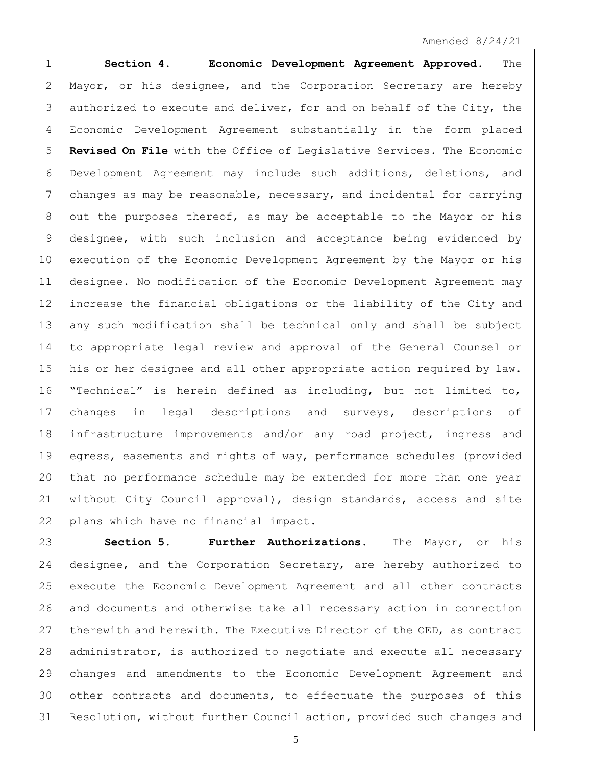## Amended 8/24/21

 **Section 4. Economic Development Agreement Approved.** The 2 Mayor, or his designee, and the Corporation Secretary are hereby authorized to execute and deliver, for and on behalf of the City, the Economic Development Agreement substantially in the form placed **Revised On File** with the Office of Legislative Services. The Economic Development Agreement may include such additions, deletions, and changes as may be reasonable, necessary, and incidental for carrying 8 out the purposes thereof, as may be acceptable to the Mayor or his designee, with such inclusion and acceptance being evidenced by execution of the Economic Development Agreement by the Mayor or his designee. No modification of the Economic Development Agreement may increase the financial obligations or the liability of the City and any such modification shall be technical only and shall be subject to appropriate legal review and approval of the General Counsel or his or her designee and all other appropriate action required by law. "Technical" is herein defined as including, but not limited to, changes in legal descriptions and surveys, descriptions of infrastructure improvements and/or any road project, ingress and egress, easements and rights of way, performance schedules (provided that no performance schedule may be extended for more than one year without City Council approval), design standards, access and site plans which have no financial impact.

 **Section 5. Further Authorizations.** The Mayor, or his designee, and the Corporation Secretary, are hereby authorized to execute the Economic Development Agreement and all other contracts and documents and otherwise take all necessary action in connection 27 therewith and herewith. The Executive Director of the OED, as contract administrator, is authorized to negotiate and execute all necessary changes and amendments to the Economic Development Agreement and other contracts and documents, to effectuate the purposes of this Resolution, without further Council action, provided such changes and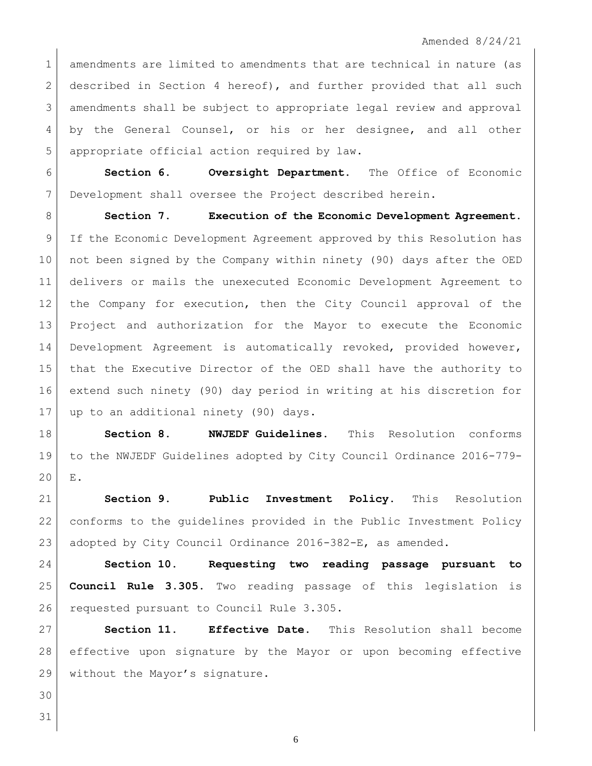1 amendments are limited to amendments that are technical in nature (as 2 described in Section 4 hereof), and further provided that all such amendments shall be subject to appropriate legal review and approval by the General Counsel, or his or her designee, and all other appropriate official action required by law.

 **Section 6. Oversight Department.** The Office of Economic Development shall oversee the Project described herein.

 **Section 7. Execution of the Economic Development Agreement.** If the Economic Development Agreement approved by this Resolution has not been signed by the Company within ninety (90) days after the OED delivers or mails the unexecuted Economic Development Agreement to the Company for execution, then the City Council approval of the Project and authorization for the Mayor to execute the Economic Development Agreement is automatically revoked, provided however, that the Executive Director of the OED shall have the authority to extend such ninety (90) day period in writing at his discretion for 17 | up to an additional ninety (90) days.

 **Section 8. NWJEDF Guidelines.** This Resolution conforms to the NWJEDF Guidelines adopted by City Council Ordinance 2016-779- E.

 **Section 9. Public Investment Policy.** This Resolution conforms to the guidelines provided in the Public Investment Policy adopted by City Council Ordinance 2016-382-E, as amended.

 **Section 10. Requesting two reading passage pursuant to Council Rule 3.305.** Two reading passage of this legislation is 26 requested pursuant to Council Rule 3.305.

 **Section 11. Effective Date.** This Resolution shall become effective upon signature by the Mayor or upon becoming effective 29 without the Mayor's signature.